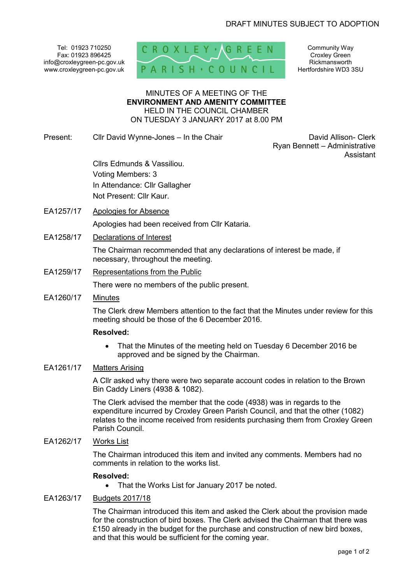Tel: 01923 710250 Fax: 01923 896425 info@croxleygreen-pc.gov.uk www.croxleygreen-pc.gov.uk



Community Way Croxley Green Rickmansworth Hertfordshire WD3 3SU

MINUTES OF A MEETING OF THE **ENVIRONMENT AND AMENITY COMMITTEE** HELD IN THE COUNCIL CHAMBER ON TUESDAY 3 JANUARY 2017 at 8.00 PM

Present: Cllr David Wynne-Jones – In the Chair Chair David Allison- Clerk

Ryan Bennett – Administrative Assistant

 Cllrs Edmunds & Vassiliou. Voting Members: 3 In Attendance: Cllr Gallagher Not Present: Cllr Kaur.

- EA1257/17 Apologies for Absence Apologies had been received from Cllr Kataria.
- EA1258/17 Declarations of Interest

The Chairman recommended that any declarations of interest be made, if necessary, throughout the meeting.

EA1259/17 Representations from the Public

There were no members of the public present.

EA1260/17 Minutes

The Clerk drew Members attention to the fact that the Minutes under review for this meeting should be those of the 6 December 2016.

## **Resolved:**

• That the Minutes of the meeting held on Tuesday 6 December 2016 be approved and be signed by the Chairman.

# EA1261/17 Matters Arising

A Cllr asked why there were two separate account codes in relation to the Brown Bin Caddy Liners (4938 & 1082).

The Clerk advised the member that the code (4938) was in regards to the expenditure incurred by Croxley Green Parish Council, and that the other (1082) relates to the income received from residents purchasing them from Croxley Green Parish Council.

### EA1262/17 Works List

The Chairman introduced this item and invited any comments. Members had no comments in relation to the works list.

### **Resolved:**

• That the Works List for January 2017 be noted.

### EA1263/17 Budgets 2017/18

The Chairman introduced this item and asked the Clerk about the provision made for the construction of bird boxes. The Clerk advised the Chairman that there was £150 already in the budget for the purchase and construction of new bird boxes, and that this would be sufficient for the coming year.